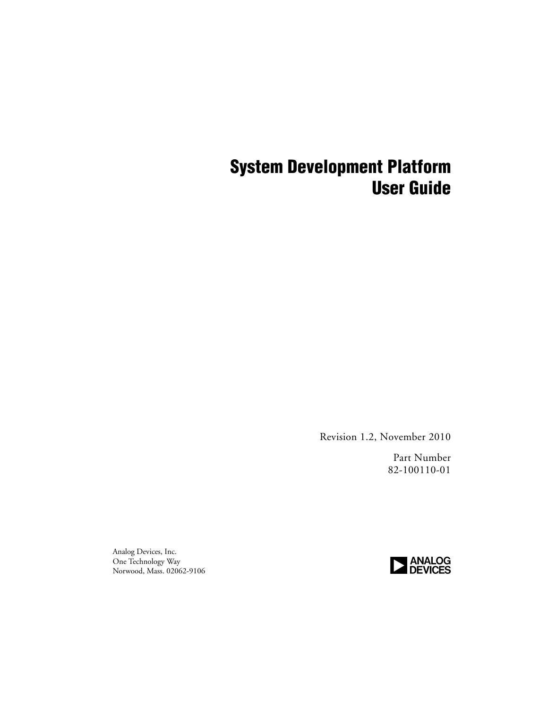## **System Development Platform User Guide**

Revision 1.2, November 2010

Part Number 82-100110-01

Analog Devices, Inc. One Technology Way Norwood, Mass. 02062-9106

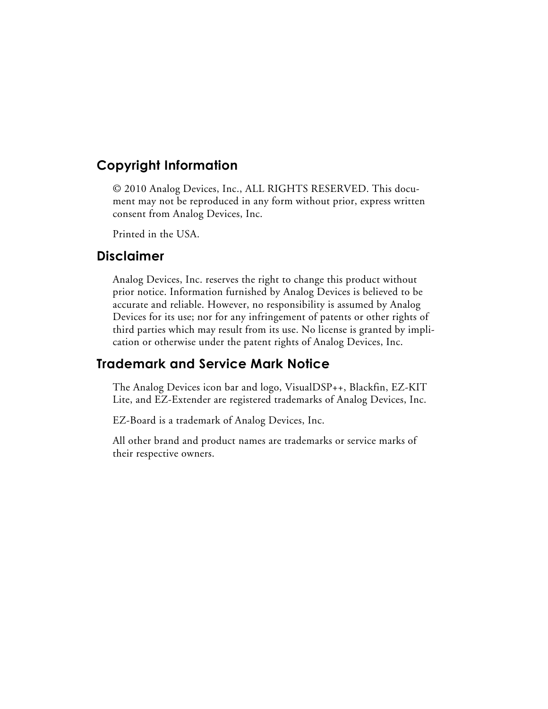#### **Copyright Information**

© 2010 Analog Devices, Inc., ALL RIGHTS RESERVED. This document may not be reproduced in any form without prior, express written consent from Analog Devices, Inc.

Printed in the USA.

#### **Disclaimer**

Analog Devices, Inc. reserves the right to change this product without prior notice. Information furnished by Analog Devices is believed to be accurate and reliable. However, no responsibility is assumed by Analog Devices for its use; nor for any infringement of patents or other rights of third parties which may result from its use. No license is granted by implication or otherwise under the patent rights of Analog Devices, Inc.

#### **Trademark and Service Mark Notice**

The Analog Devices icon bar and logo, VisualDSP++, Blackfin, EZ-KIT Lite, and EZ-Extender are registered trademarks of Analog Devices, Inc.

EZ-Board is a trademark of Analog Devices, Inc.

All other brand and product names are trademarks or service marks of their respective owners.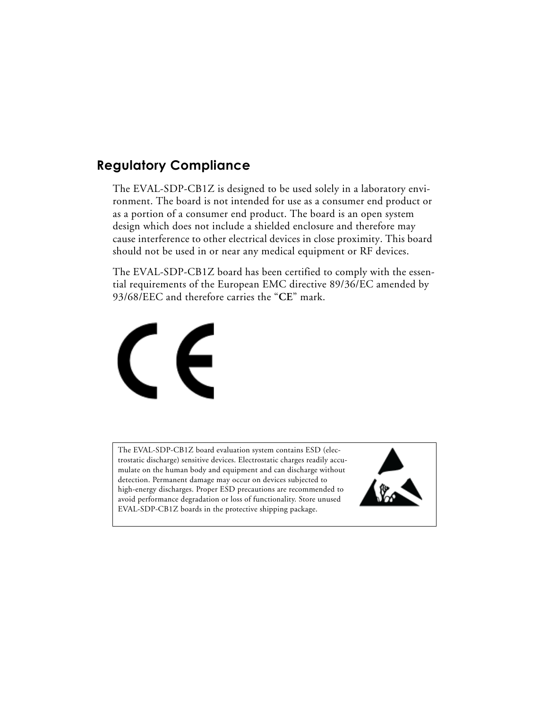#### **Regulatory Compliance**

The EVAL-SDP-CB1Z is designed to be used solely in a laboratory environment. The board is not intended for use as a consumer end product or as a portion of a consumer end product. The board is an open system design which does not include a shielded enclosure and therefore may cause interference to other electrical devices in close proximity. This board should not be used in or near any medical equipment or RF devices.

The EVAL-SDP-CB1Z board has been certified to comply with the essential requirements of the European EMC directive 89/36/EC amended by 93/68/EEC and therefore carries the "**CE**" mark.



The EVAL-SDP-CB1Z board evaluation system contains ESD (electrostatic discharge) sensitive devices. Electrostatic charges readily accumulate on the human body and equipment and can discharge without detection. Permanent damage may occur on devices subjected to high-energy discharges. Proper ESD precautions are recommended to avoid performance degradation or loss of functionality. Store unused EVAL-SDP-CB1Z boards in the protective shipping package.

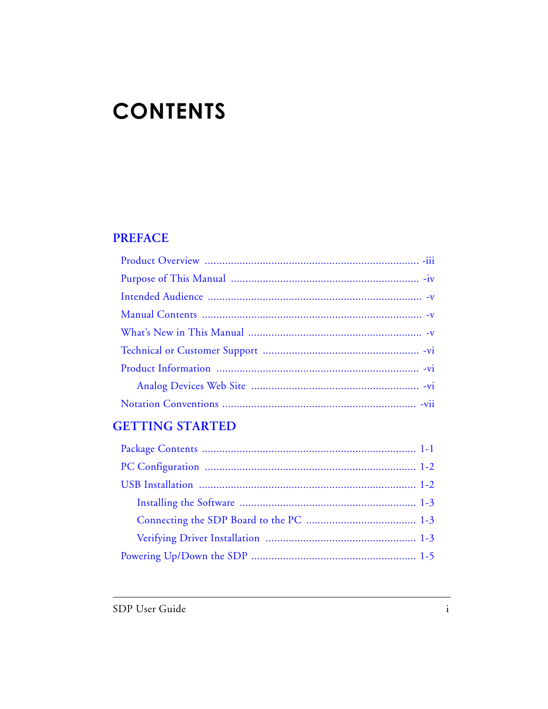# **CONTENTS**

#### **PREFACE**

#### **GETTING STARTED**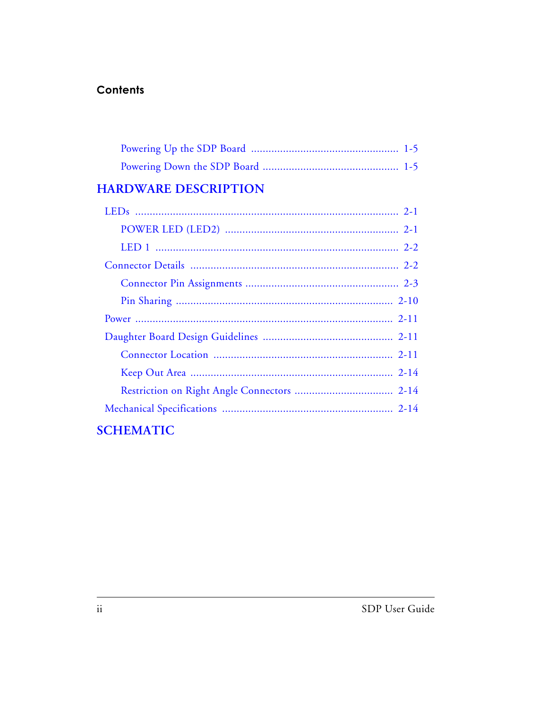#### **Contents**

#### **HARDWARE DESCRIPTION**

| <b>SCHEMATIC</b> |
|------------------|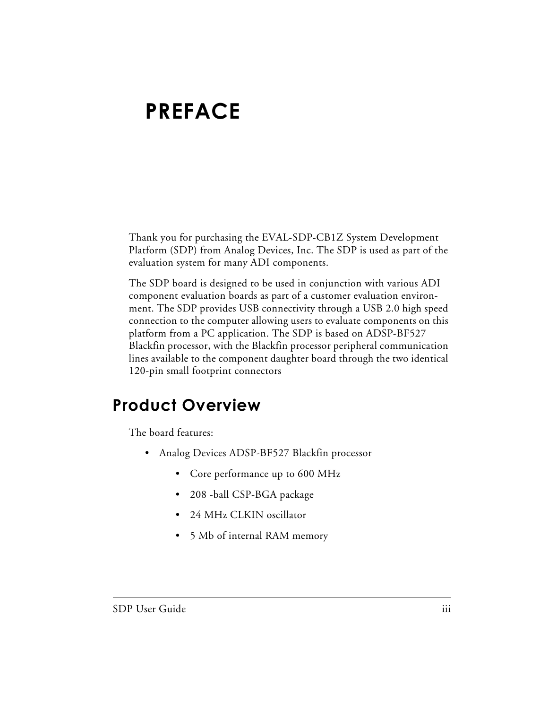# <span id="page-6-0"></span>**PREFACE**

Thank you for purchasing the EVAL-SDP-CB1Z System Development Platform (SDP) from Analog Devices, Inc. The SDP is used as part of the evaluation system for many ADI components.

The SDP board is designed to be used in conjunction with various ADI component evaluation boards as part of a customer evaluation environment. The SDP provides USB connectivity through a USB 2.0 high speed connection to the computer allowing users to evaluate components on this platform from a PC application. The SDP is based on ADSP-BF527 Blackfin processor, with the Blackfin processor peripheral communication lines available to the component daughter board through the two identical 120-pin small footprint connectors

## <span id="page-6-1"></span>**Product Overview**

The board features:

- Analog Devices ADSP-BF527 Blackfin processor
	- Core performance up to 600 MHz
	- 208 -ball CSP-BGA package
	- 24 MHz CLKIN oscillator
	- 5 Mb of internal RAM memory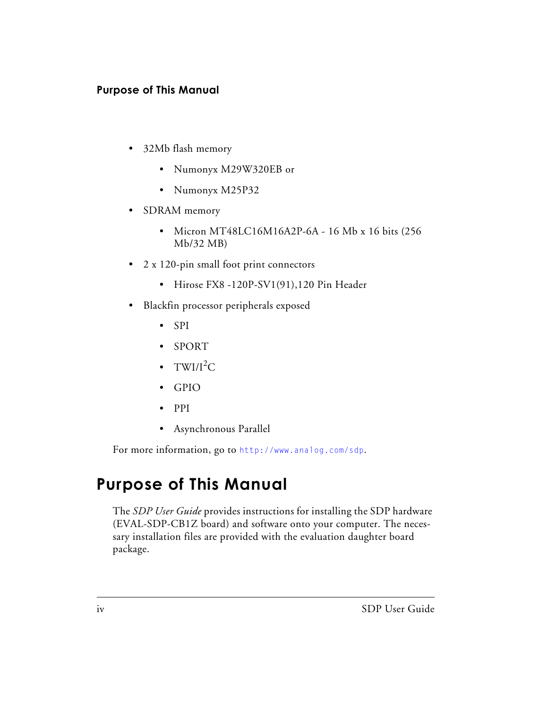#### **Purpose of This Manual**

- 32Mb flash memory
	- Numonyx M29W320EB or
	- Numonyx M25P32
- SDRAM memory
	- Micron MT48LC16M16A2P-6A 16 Mb x 16 bits (256 Mb/32 MB)
- 2 x 120-pin small foot print connectors
	- Hirose FX8 -120P-SV1(91),120 Pin Header
- Blackfin processor peripherals exposed
	- SPI
	- SPORT
	- TWI/ $I^2C$
	- GPIO
	- PPI
	- Asynchronous Parallel

For more information, go to <http://www.analog.com/sdp>.

## <span id="page-7-0"></span>**Purpose of This Manual**

The *SDP User Guide* provides instructions for installing the SDP hardware (EVAL-SDP-CB1Z board) and software onto your computer. The necessary installation files are provided with the evaluation daughter board package.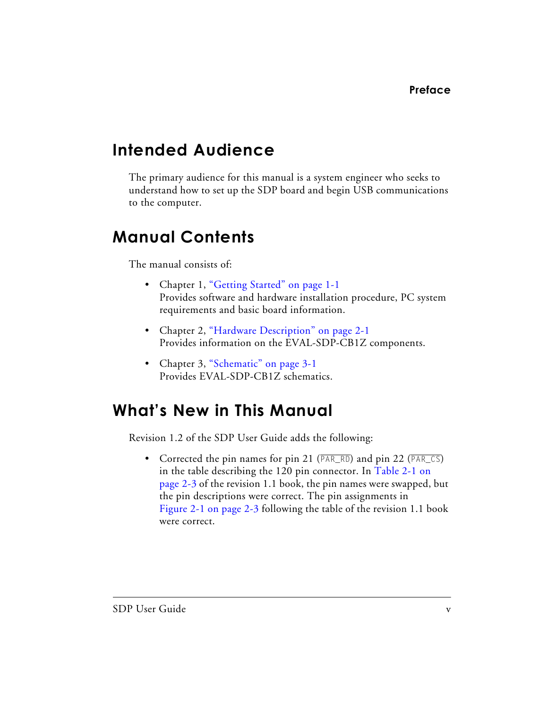## <span id="page-8-0"></span>**Intended Audience**

The primary audience for this manual is a system engineer who seeks to understand how to set up the SDP board and begin USB communications to the computer.

## <span id="page-8-1"></span>**Manual Contents**

The manual consists of:

- Chapter 1, ["Getting Started" on page 1-1](#page-12-2) Provides software and hardware installation procedure, PC system requirements and basic board information.
- Chapter 2, ["Hardware Description" on page 2-1](#page-18-3) Provides information on the EVAL-SDP-CB1Z components.
- Chapter 3, ["Schematic" on page 3-1](#page-34-1) Provides EVAL-SDP-CB1Z schematics.

## <span id="page-8-2"></span>**What's New in This Manual**

Revision 1.2 of the SDP User Guide adds the following:

• Corrected the pin names for pin 21 (PAR\_RD) and pin 22 (PAR\_CS) in the table describing the 120 pin connector. In [Table 2-1 on](#page-20-1)  [page 2-3](#page-20-1) of the revision 1.1 book, the pin names were swapped, but the pin descriptions were correct. The pin assignments in [Figure 2-1 on page 2-3](#page-20-1) following the table of the revision 1.1 book were correct.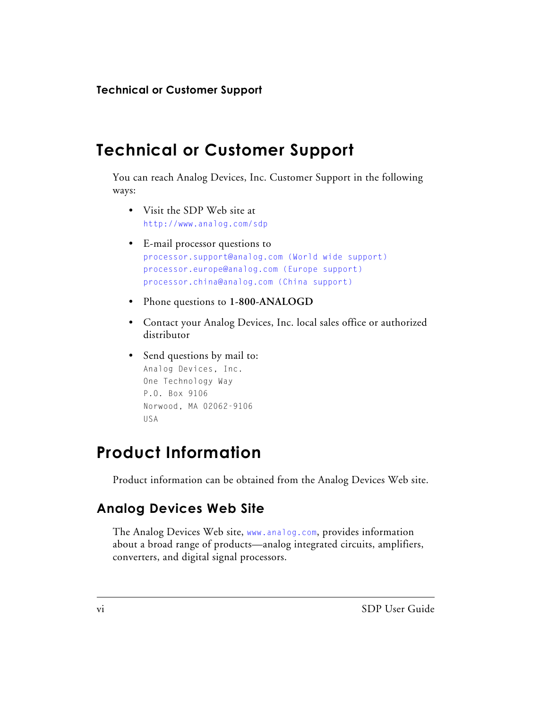## <span id="page-9-0"></span>**Technical or Customer Support**

You can reach Analog Devices, Inc. Customer Support in the following ways:

- Visit the SDP Web site at <http://www.analog.com/sdp>
- E-mail processor questions to [processor.support@analog.com \(World wide support\)](mailto:processor.support@analog.com)  [processor.europe@analog.com \(Europe support\)](mailto:processor.europe@analog.com)  [processor.china@analog.com \(China support\)](mailto:processor.china@analog.com)
- Phone questions to **1-800-ANALOGD**
- Contact your Analog Devices, Inc. local sales office or authorized distributor
- Send questions by mail to: Analog Devices, Inc. One Technology Way P.O. Box 9106 Norwood, MA 02062-9106 USA

## <span id="page-9-1"></span>**Product Information**

Product information can be obtained from the Analog Devices Web site.

### <span id="page-9-2"></span>**Analog Devices Web Site**

The Analog Devices Web site, [www.analog.com](http://www.analog.com), provides information about a broad range of products—analog integrated circuits, amplifiers, converters, and digital signal processors.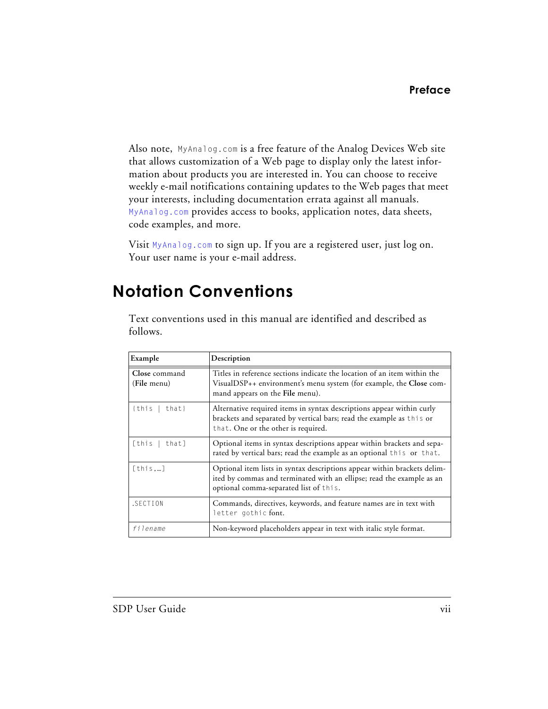Also note, [MyAnalog.com](http://www.analog.com/subscriptions) is a free feature of the Analog Devices Web site that allows customization of a Web page to display only the latest information about products you are interested in. You can choose to receive weekly e-mail notifications containing updates to the Web pages that meet your interests, including documentation errata against all manuals. [MyAnalog.com](http://www.analog.com/subscriptions) provides access to books, application notes, data sheets, code examples, and more.

Visit [MyAnalog.com](http://www.analog.com/subscriptions) to sign up. If you are a registered user, just log on. Your user name is your e-mail address.

## <span id="page-10-0"></span>**Notation Conventions**

Text conventions used in this manual are identified and described as follows.

| Example                      | Description                                                                                                                                                                                 |
|------------------------------|---------------------------------------------------------------------------------------------------------------------------------------------------------------------------------------------|
| Close command<br>(File menu) | Titles in reference sections indicate the location of an item within the<br>VisualDSP++ environment's menu system (for example, the Close com-<br>mand appears on the File menu).           |
| {this<br>that}               | Alternative required items in syntax descriptions appear within curly<br>brackets and separated by vertical bars; read the example as this or<br>that. One or the other is required.        |
| [this<br>thatl               | Optional items in syntax descriptions appear within brackets and sepa-<br>rated by vertical bars; read the example as an optional this or that.                                             |
| [this]                       | Optional item lists in syntax descriptions appear within brackets delim-<br>ited by commas and terminated with an ellipse; read the example as an<br>optional comma-separated list of this. |
| .SECTION                     | Commands, directives, keywords, and feature names are in text with<br>letter gothic font.                                                                                                   |
| filename                     | Non-keyword placeholders appear in text with italic style format.                                                                                                                           |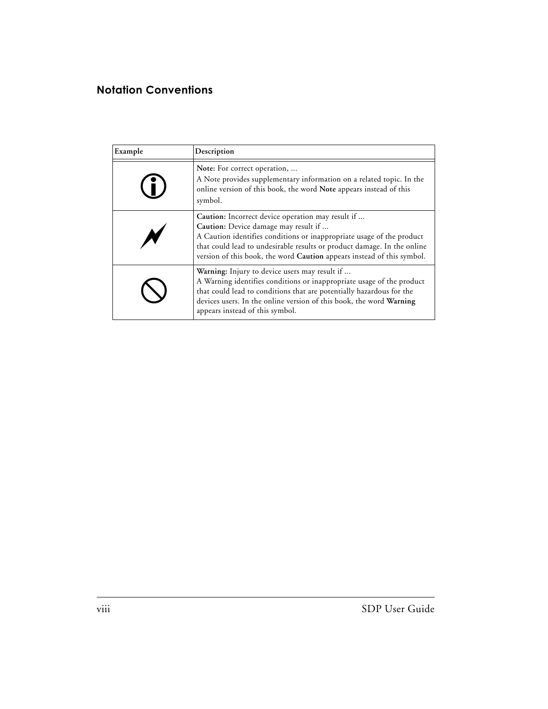| Example | Description                                                                                                                                                                                                                                                                                                             |
|---------|-------------------------------------------------------------------------------------------------------------------------------------------------------------------------------------------------------------------------------------------------------------------------------------------------------------------------|
|         | Note: For correct operation,<br>A Note provides supplementary information on a related topic. In the<br>online version of this book, the word Note appears instead of this<br>symbol.                                                                                                                                   |
|         | Caution: Incorrect device operation may result if<br>Caution: Device damage may result if<br>A Caution identifies conditions or inappropriate usage of the product<br>that could lead to undesirable results or product damage. In the online<br>version of this book, the word Caution appears instead of this symbol. |
|         | Warning: Injury to device users may result if<br>A Warning identifies conditions or inappropriate usage of the product<br>that could lead to conditions that are potentially hazardous for the<br>devices users. In the online version of this book, the word Warning<br>appears instead of this symbol.                |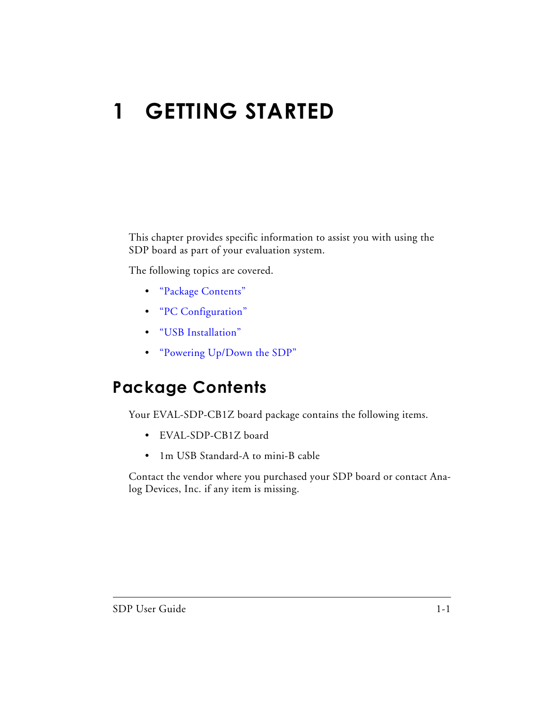# <span id="page-12-2"></span><span id="page-12-0"></span>**1 GETTING STARTED**

This chapter provides specific information to assist you with using the SDP board as part of your evaluation system.

The following topics are covered.

- ["Package Contents"](#page-12-1)
- ["PC Configuration"](#page-13-0)
- ["USB Installation"](#page-13-1)
- ["Powering Up/Down the SDP"](#page-16-0)

## <span id="page-12-1"></span>**Package Contents**

Your EVAL-SDP-CB1Z board package contains the following items.

- EVAL-SDP-CB1Z board
- 1m USB Standard-A to mini-B cable

Contact the vendor where you purchased your SDP board or contact Analog Devices, Inc. if any item is missing.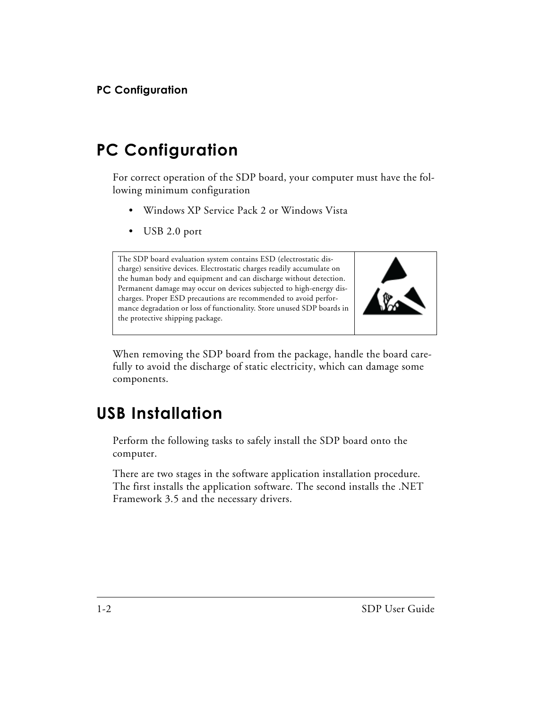## <span id="page-13-0"></span>**PC Configuration**

For correct operation of the SDP board, your computer must have the following minimum configuration

- Windows XP Service Pack 2 or Windows Vista
- USB 2.0 port

The SDP board evaluation system contains ESD (electrostatic discharge) sensitive devices. Electrostatic charges readily accumulate on the human body and equipment and can discharge without detection. Permanent damage may occur on devices subjected to high-energy discharges. Proper ESD precautions are recommended to avoid performance degradation or loss of functionality. Store unused SDP boards in the protective shipping package.



When removing the SDP board from the package, handle the board carefully to avoid the discharge of static electricity, which can damage some components.

## <span id="page-13-1"></span>**USB Installation**

Perform the following tasks to safely install the SDP board onto the computer.

There are two stages in the software application installation procedure. The first installs the application software. The second installs the .NET Framework 3.5 and the necessary drivers.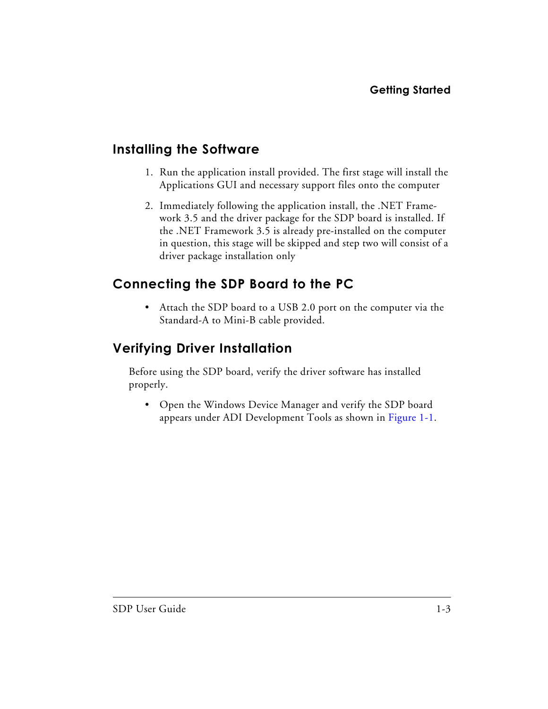### <span id="page-14-0"></span>**Installing the Software**

- 1. Run the application install provided. The first stage will install the Applications GUI and necessary support files onto the computer
- 2. Immediately following the application install, the .NET Framework 3.5 and the driver package for the SDP board is installed. If the .NET Framework 3.5 is already pre-installed on the computer in question, this stage will be skipped and step two will consist of a driver package installation only

#### <span id="page-14-1"></span>**Connecting the SDP Board to the PC**

• Attach the SDP board to a USB 2.0 port on the computer via the Standard-A to Mini-B cable provided.

### <span id="page-14-2"></span>**Verifying Driver Installation**

Before using the SDP board, verify the driver software has installed properly.

• Open the Windows Device Manager and verify the SDP board appears under ADI Development Tools as shown in [Figure 1-1.](#page-15-0)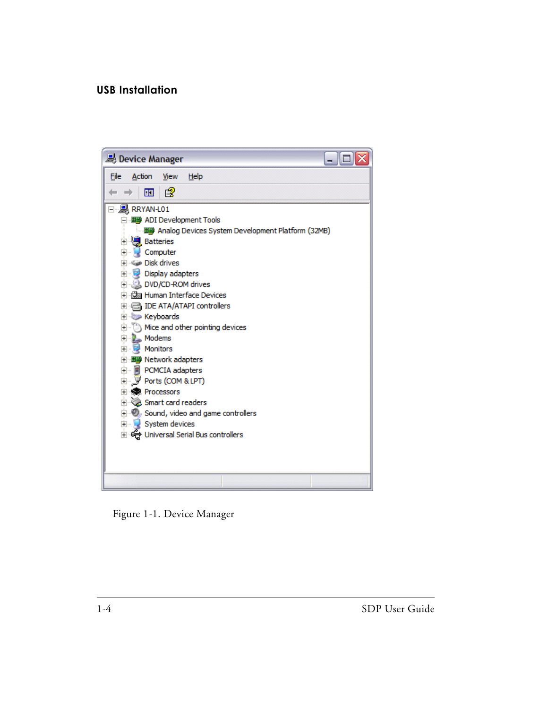<span id="page-15-0"></span>

Figure 1-1. Device Manager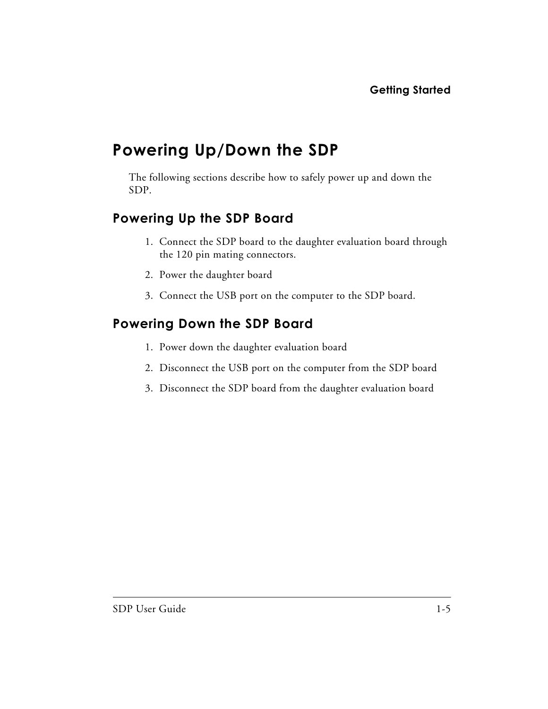## <span id="page-16-0"></span>**Powering Up/Down the SDP**

The following sections describe how to safely power up and down the SDP.

#### <span id="page-16-1"></span>**Powering Up the SDP Board**

- 1. Connect the SDP board to the daughter evaluation board through the 120 pin mating connectors.
- 2. Power the daughter board
- 3. Connect the USB port on the computer to the SDP board.

#### <span id="page-16-2"></span>**Powering Down the SDP Board**

- 1. Power down the daughter evaluation board
- 2. Disconnect the USB port on the computer from the SDP board
- 3. Disconnect the SDP board from the daughter evaluation board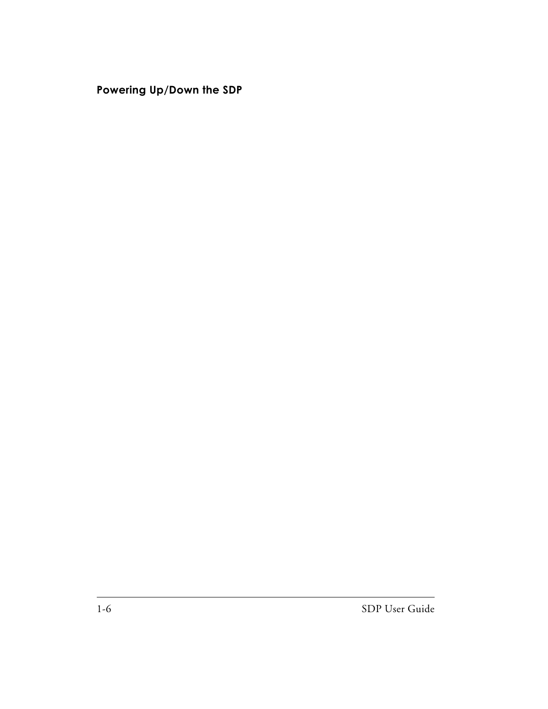#### **Powering Up/Down the SDP**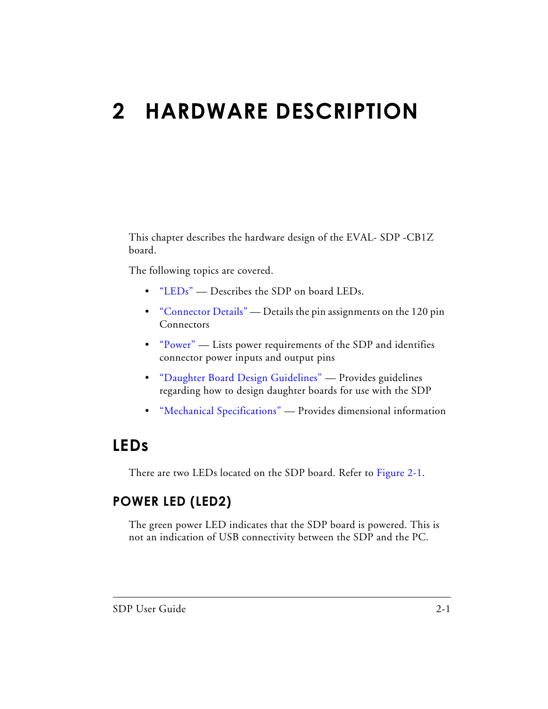# <span id="page-18-3"></span><span id="page-18-0"></span>**2 HARDWARE DESCRIPTION**

This chapter describes the hardware design of the EVAL- SDP -CB1Z board.

The following topics are covered.

- ["LEDs"](#page-18-1) Describes the SDP on board LEDs.
- ["Connector Details"](#page-19-1)  Details the pin assignments on the 120 pin Connectors
- ["Power"](#page-28-0)  Lists power requirements of the SDP and identifies connector power inputs and output pins
- ["Daughter Board Design Guidelines"](#page-28-1) Provides guidelines regarding how to design daughter boards for use with the SDP
- ["Mechanical Specifications"](#page-31-2) Provides dimensional information

## <span id="page-18-1"></span>**LEDs**

There are two LEDs located on the SDP board. Refer to [Figure 2-1.](#page-19-2)

### <span id="page-18-2"></span>**POWER LED (LED2)**

The green power LED indicates that the SDP board is powered. This is not an indication of USB connectivity between the SDP and the PC.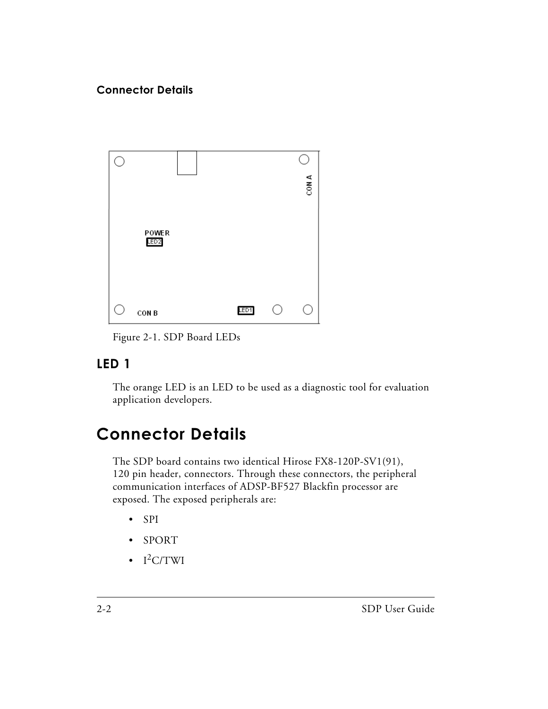

<span id="page-19-2"></span>Figure 2-1. SDP Board LEDs

## <span id="page-19-0"></span>**LED 1**

The orange LED is an LED to be used as a diagnostic tool for evaluation application developers.

## <span id="page-19-1"></span>**Connector Details**

The SDP board contains two identical Hirose FX8-120P-SV1(91), 120 pin header, connectors. Through these connectors, the peripheral communication interfaces of ADSP-BF527 Blackfin processor are exposed. The exposed peripherals are:

- SPI
- SPORT
- $\cdot$  I<sup>2</sup>C/TWI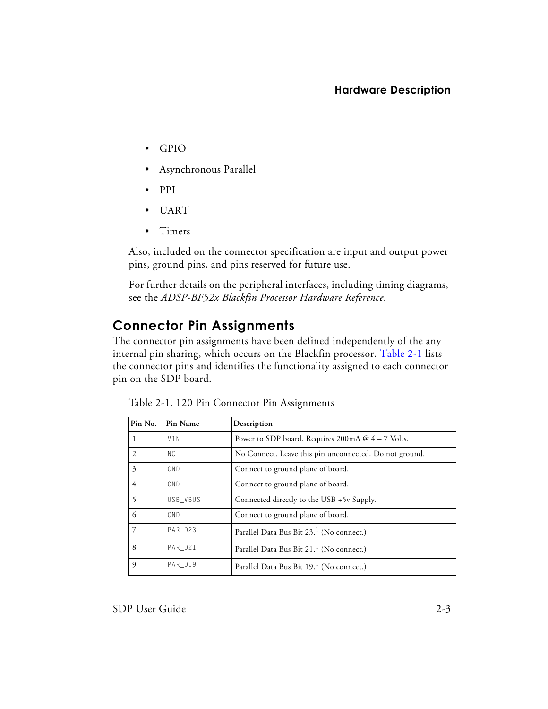- GPIO
- Asynchronous Parallel
- PPI
- UART
- Timers

Also, included on the connector specification are input and output power pins, ground pins, and pins reserved for future use.

For further details on the peripheral interfaces, including timing diagrams, see the *ADSP-BF52x Blackfin Processor Hardware Reference*.

### <span id="page-20-0"></span>**Connector Pin Assignments**

The connector pin assignments have been defined independently of the any internal pin sharing, which occurs on the Blackfin processor. [Table 2-1](#page-20-2) lists the connector pins and identifies the functionality assigned to each connector pin on the SDP board.

| Pin No. | Pin Name | Description                                            |
|---------|----------|--------------------------------------------------------|
|         | VIN      | Power to SDP board. Requires 200mA $@$ 4 – 7 Volts.    |
| 2       | N C      | No Connect. Leave this pin unconnected. Do not ground. |
| 3       | GND      | Connect to ground plane of board.                      |
| 4       | GND      | Connect to ground plane of board.                      |
| 5       | USB VBUS | Connected directly to the USB +5y Supply.              |
| 6       | GND      | Connect to ground plane of board.                      |
| 7       | PAR D23  | Parallel Data Bus Bit 23. <sup>1</sup> (No connect.)   |
| 8       | PAR D21  | Parallel Data Bus Bit 21. <sup>1</sup> (No connect.)   |
| 9       | PAR D19  | Parallel Data Bus Bit 19. <sup>1</sup> (No connect.)   |

<span id="page-20-2"></span><span id="page-20-1"></span>Table 2-1. 120 Pin Connector Pin Assignments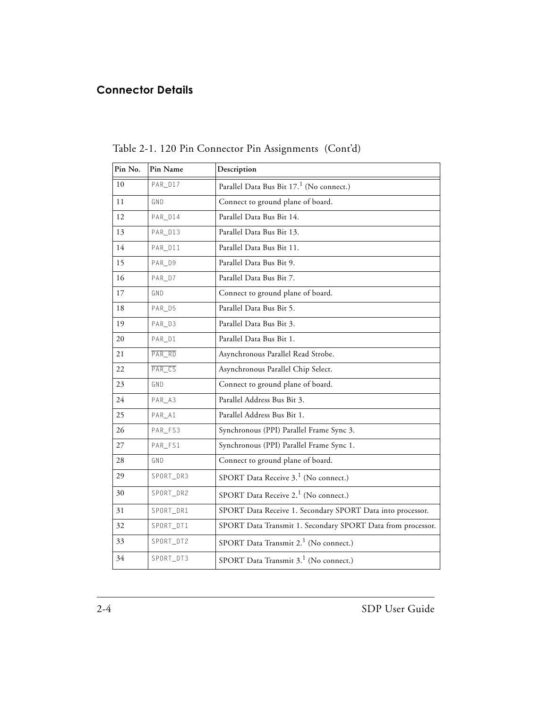| Pin No. | Pin Name  | Description                                                 |
|---------|-----------|-------------------------------------------------------------|
| 10      | PAR_D17   | Parallel Data Bus Bit 17. <sup>1</sup> (No connect.)        |
| 11      | GND       | Connect to ground plane of board.                           |
| 12      | PAR_D14   | Parallel Data Bus Bit 14.                                   |
| 13      | PAR_D13   | Parallel Data Bus Bit 13.                                   |
| 14      | PAR_D11   | Parallel Data Bus Bit 11.                                   |
| 15      | PAR_D9    | Parallel Data Bus Bit 9.                                    |
| 16      | PAR_D7    | Parallel Data Bus Bit 7.                                    |
| 17      | GND       | Connect to ground plane of board.                           |
| 18      | PAR_D5    | Parallel Data Bus Bit 5.                                    |
| 19      | PAR_D3    | Parallel Data Bus Bit 3.                                    |
| 20      | PAR_D1    | Parallel Data Bus Bit 1.                                    |
| 21      | $PAR_RD$  | Asynchronous Parallel Read Strobe.                          |
| 22      | $PAR_CS$  | Asynchronous Parallel Chip Select.                          |
| 23      | GND       | Connect to ground plane of board.                           |
| 24      | PAR_A3    | Parallel Address Bus Bit 3.                                 |
| 25      | PAR_A1    | Parallel Address Bus Bit 1.                                 |
| 26      | PAR_FS3   | Synchronous (PPI) Parallel Frame Sync 3.                    |
| 27      | PAR_FS1   | Synchronous (PPI) Parallel Frame Sync 1.                    |
| 28      | GND       | Connect to ground plane of board.                           |
| 29      | SPORT_DR3 | SPORT Data Receive 3. <sup>1</sup> (No connect.)            |
| 30      | SPORT_DR2 | SPORT Data Receive 2. <sup>1</sup> (No connect.)            |
| 31      | SPORT_DR1 | SPORT Data Receive 1. Secondary SPORT Data into processor.  |
| 32      | SPORT_DT1 | SPORT Data Transmit 1. Secondary SPORT Data from processor. |
| 33      | SPORT_DT2 | SPORT Data Transmit 2. <sup>1</sup> (No connect.)           |
| 34      | SPORT_DT3 | SPORT Data Transmit 3. <sup>1</sup> (No connect.)           |

Table 2-1. 120 Pin Connector Pin Assignments (Cont'd)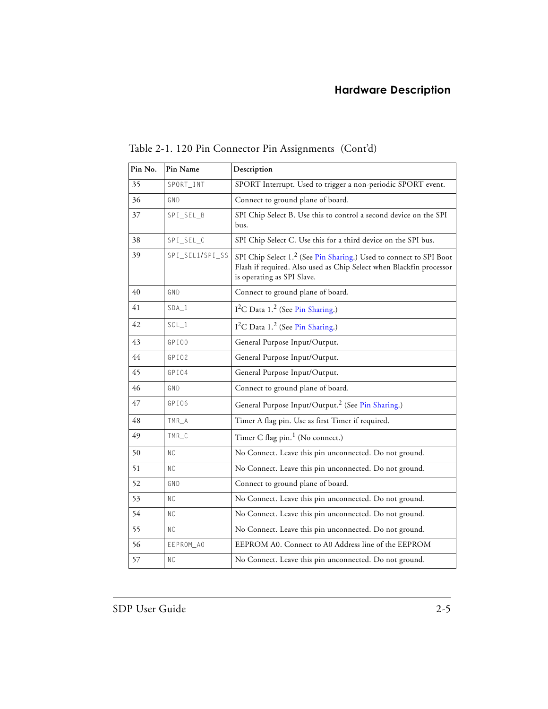| Pin No. | Pin Name        | Description                                                                                                                                                                         |
|---------|-----------------|-------------------------------------------------------------------------------------------------------------------------------------------------------------------------------------|
| 35      | SPORT_INT       | SPORT Interrupt. Used to trigger a non-periodic SPORT event.                                                                                                                        |
| 36      | GND             | Connect to ground plane of board.                                                                                                                                                   |
| 37      | SPI_SEL_B       | SPI Chip Select B. Use this to control a second device on the SPI<br>bus.                                                                                                           |
| 38      | SPI_SEL_C       | SPI Chip Select C. Use this for a third device on the SPI bus.                                                                                                                      |
| 39      | SPI_SEL1/SPI_SS | SPI Chip Select 1. <sup>2</sup> (See Pin Sharing.) Used to connect to SPI Boot<br>Flash if required. Also used as Chip Select when Blackfin processor<br>is operating as SPI Slave. |
| 40      | GND             | Connect to ground plane of board.                                                                                                                                                   |
| 41      | $SDA_1$         | $I2C$ Data 1. <sup>2</sup> (See Pin Sharing.)                                                                                                                                       |
| 42      | $SCL_1$         | $I2C$ Data 1. <sup>2</sup> (See Pin Sharing.)                                                                                                                                       |
| 43      | GPI00           | General Purpose Input/Output.                                                                                                                                                       |
| 44      | GPI02           | General Purpose Input/Output.                                                                                                                                                       |
| 45      | GPI04           | General Purpose Input/Output.                                                                                                                                                       |
| 46      | GND             | Connect to ground plane of board.                                                                                                                                                   |
| 47      | GPI06           | General Purpose Input/Output. <sup>2</sup> (See Pin Sharing.)                                                                                                                       |
| 48      | TMR_A           | Timer A flag pin. Use as first Timer if required.                                                                                                                                   |
| 49      | TMR_C           | Timer C flag pin. <sup>1</sup> (No connect.)                                                                                                                                        |
| 50      | <b>NC</b>       | No Connect. Leave this pin unconnected. Do not ground.                                                                                                                              |
| 51      | <b>NC</b>       | No Connect. Leave this pin unconnected. Do not ground.                                                                                                                              |
| 52      | GND             | Connect to ground plane of board.                                                                                                                                                   |
| 53      | ΝC              | No Connect. Leave this pin unconnected. Do not ground.                                                                                                                              |
| 54      | <b>NC</b>       | No Connect. Leave this pin unconnected. Do not ground.                                                                                                                              |
| 55      | ΝC              | No Connect. Leave this pin unconnected. Do not ground.                                                                                                                              |
| 56      | EEPROM_AO       | EEPROM A0. Connect to A0 Address line of the EEPROM                                                                                                                                 |
| 57      | <b>NC</b>       | No Connect. Leave this pin unconnected. Do not ground.                                                                                                                              |

Table 2-1. 120 Pin Connector Pin Assignments (Cont'd)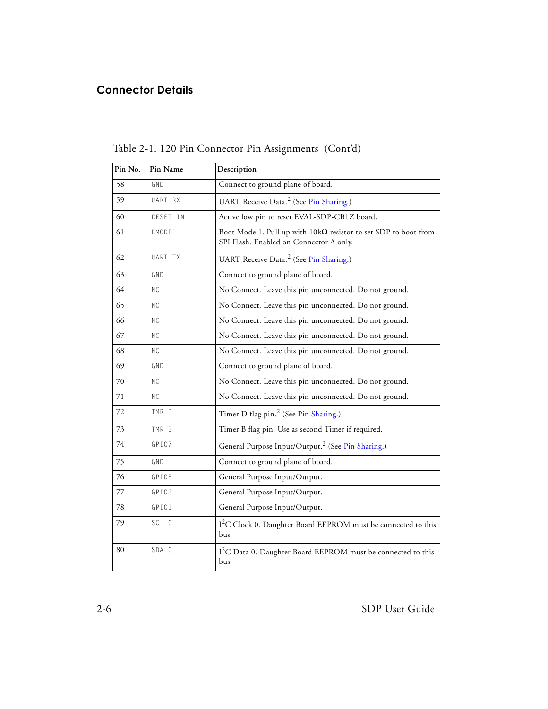| Pin No. | Pin Name       | Description                                                                                                       |
|---------|----------------|-------------------------------------------------------------------------------------------------------------------|
| 58      | GND            | Connect to ground plane of board.                                                                                 |
| 59      | UART_RX        | UART Receive Data. <sup>2</sup> (See Pin Sharing.)                                                                |
| 60      | RESET_IN       | Active low pin to reset EVAL-SDP-CB1Z board.                                                                      |
| 61      | BMODE1         | Boot Mode 1. Pull up with $10k\Omega$ resistor to set SDP to boot from<br>SPI Flash. Enabled on Connector A only. |
| 62      | UART_TX        | UART Receive Data. <sup>2</sup> (See Pin Sharing.)                                                                |
| 63      | GND            | Connect to ground plane of board.                                                                                 |
| 64      | NC.            | No Connect. Leave this pin unconnected. Do not ground.                                                            |
| 65      | NC.            | No Connect. Leave this pin unconnected. Do not ground.                                                            |
| 66      | <b>NC</b>      | No Connect. Leave this pin unconnected. Do not ground.                                                            |
| 67      | N <sub>C</sub> | No Connect. Leave this pin unconnected. Do not ground.                                                            |
| 68      | NC.            | No Connect. Leave this pin unconnected. Do not ground.                                                            |
| 69      | GND            | Connect to ground plane of board.                                                                                 |
| 70      | <b>NC</b>      | No Connect. Leave this pin unconnected. Do not ground.                                                            |
| 71      | <b>NC</b>      | No Connect. Leave this pin unconnected. Do not ground.                                                            |
| 72      | $TMR_D$        | Timer D flag pin. <sup>2</sup> (See Pin Sharing.)                                                                 |
| 73      | TMR_B          | Timer B flag pin. Use as second Timer if required.                                                                |
| 74      | GPI07          | General Purpose Input/Output. <sup>2</sup> (See Pin Sharing.)                                                     |
| 75      | GND            | Connect to ground plane of board.                                                                                 |
| 76      | GPI05          | General Purpose Input/Output.                                                                                     |
| 77      | GPI03          | General Purpose Input/Output.                                                                                     |
| 78      | GPI01          | General Purpose Input/Output.                                                                                     |
| 79      | $SCL_0$        | I <sup>2</sup> C Clock 0. Daughter Board EEPROM must be connected to this<br>bus.                                 |
| 80      | $SDA_0$        | I <sup>2</sup> C Data 0. Daughter Board EEPROM must be connected to this<br>bus.                                  |

Table 2-1. 120 Pin Connector Pin Assignments (Cont'd)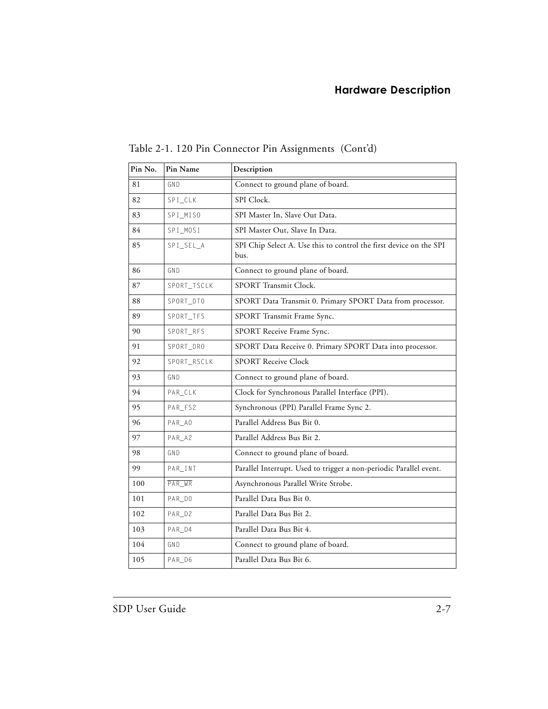| Pin No. | Pin Name    | Description                                                                |
|---------|-------------|----------------------------------------------------------------------------|
| 81      | GND         | Connect to ground plane of board.                                          |
| 82      | SPI_CLK     | SPI Clock.                                                                 |
| 83      | SPI_MISO    | SPI Master In, Slave Out Data.                                             |
| 84      | SPI_MOSI    | SPI Master Out, Slave In Data.                                             |
| 85      | SPI_SEL_A   | SPI Chip Select A. Use this to control the first device on the SPI<br>bus. |
| 86      | GND         | Connect to ground plane of board.                                          |
| 87      | SPORT_TSCLK | SPORT Transmit Clock.                                                      |
| 88      | SPORT_DT0   | SPORT Data Transmit 0. Primary SPORT Data from processor.                  |
| 89      | SPORT_TFS   | SPORT Transmit Frame Sync.                                                 |
| 90      | SPORT_RFS   | SPORT Receive Frame Sync.                                                  |
| 91      | SPORT_DRO   | SPORT Data Receive 0. Primary SPORT Data into processor.                   |
| 92      | SPORT_RSCLK | <b>SPORT Receive Clock</b>                                                 |
| 93      | GND         | Connect to ground plane of board.                                          |
| 94      | PAR_CLK     | Clock for Synchronous Parallel Interface (PPI).                            |
| 95      | PAR_FS2     | Synchronous (PPI) Parallel Frame Sync 2.                                   |
| 96      | PAR_AO      | Parallel Address Bus Bit 0.                                                |
| 97      | PAR_A2      | Parallel Address Bus Bit 2.                                                |
| 98      | GND         | Connect to ground plane of board.                                          |
| 99      | $PAR$ _INT  | Parallel Interrupt. Used to trigger a non-periodic Parallel event.         |
| 100     | $PAR_WR$    | Asynchronous Parallel Write Strobe.                                        |
| 101     | PAR_DO      | Parallel Data Bus Bit 0.                                                   |
| 102     | PAR_D2      | Parallel Data Bus Bit 2.                                                   |
| 103     | PAR_D4      | Parallel Data Bus Bit 4.                                                   |
| 104     | GND         | Connect to ground plane of board.                                          |
| 105     | PAR_D6      | Parallel Data Bus Bit 6.                                                   |

Table 2-1. 120 Pin Connector Pin Assignments (Cont'd)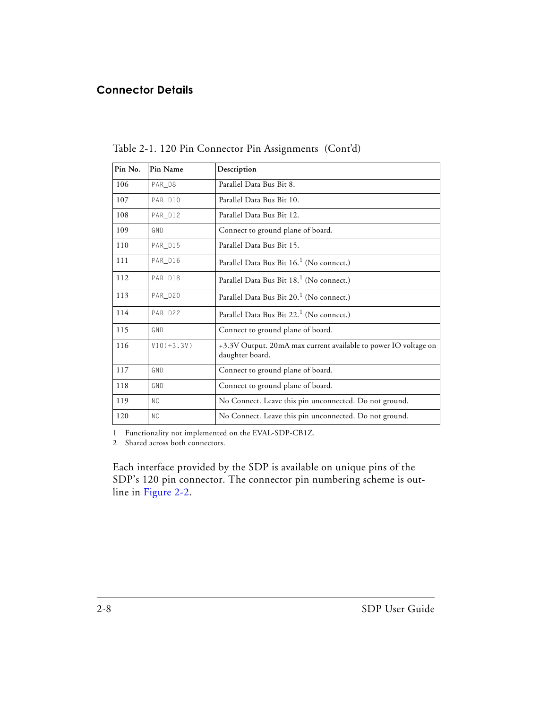#### **Connector Details**

| Pin No. | Pin Name       | Description                                                                        |
|---------|----------------|------------------------------------------------------------------------------------|
| 106     | PAR_D8         | Parallel Data Bus Bit 8.                                                           |
| 107     | PAR D10        | Parallel Data Bus Bit 10.                                                          |
| 108     | PAR_D12        | Parallel Data Bus Bit 12.                                                          |
| 109     | GND            | Connect to ground plane of board.                                                  |
| 110     | PAR_D15        | Parallel Data Bus Bit 15.                                                          |
| 111     | PAR_D16        | Parallel Data Bus Bit 16. <sup>1</sup> (No connect.)                               |
| 112     | PAR_D18        | Parallel Data Bus Bit 18. <sup>1</sup> (No connect.)                               |
| 113     | PAR_D20        | Parallel Data Bus Bit 20. <sup>1</sup> (No connect.)                               |
| 114     | PAR_D22        | Parallel Data Bus Bit 22. <sup>1</sup> (No connect.)                               |
| 115     | GND            | Connect to ground plane of board.                                                  |
| 116     | $VIO(+3.3V)$   | +3.3V Output. 20mA max current available to power IO voltage on<br>daughter board. |
| 117     | GND            | Connect to ground plane of board.                                                  |
| 118     | GND            | Connect to ground plane of board.                                                  |
| 119     | N <sub>C</sub> | No Connect. Leave this pin unconnected. Do not ground.                             |
| 120     | <b>NC</b>      | No Connect. Leave this pin unconnected. Do not ground.                             |

Table 2-1. 120 Pin Connector Pin Assignments (Cont'd)

<span id="page-25-0"></span>1 Functionality not implemented on the EVAL-SDP-CB1Z.

<span id="page-25-1"></span>2 Shared across both connectors.

Each interface provided by the SDP is available on unique pins of the SDP's 120 pin connector. The connector pin numbering scheme is outline in [Figure 2-2](#page-26-0).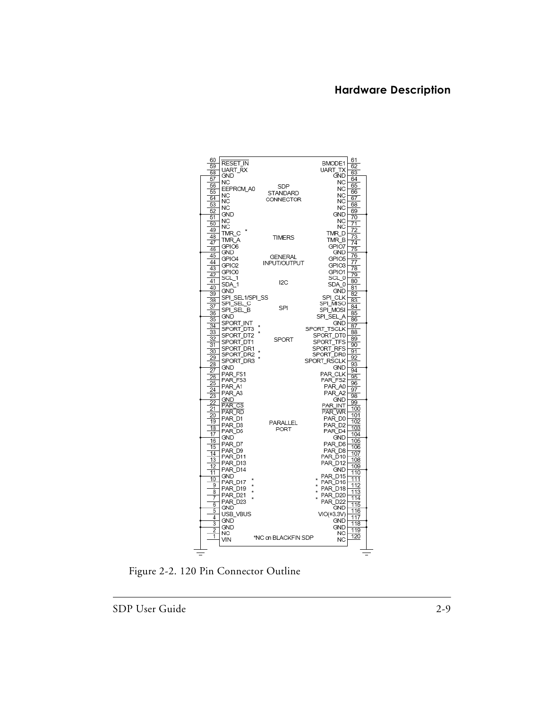| 60                       | RESET_IN               |                     | BMODE1              | 61       |
|--------------------------|------------------------|---------------------|---------------------|----------|
| 59                       | UART_RX                |                     | UART_TX             | 62       |
| 58                       | GND                    |                     | <b>GND</b>          | 63       |
| 57                       | NC                     |                     | ΝC                  | 64       |
| 56                       | EEPROM A0              | SDP                 | <b>NC</b>           | 65       |
| 55                       | NC.                    | STANDARD            | ΝC                  | 66       |
| 54                       | NC                     | CONNECTOR           | ΝC                  | 67       |
| 53                       |                        |                     |                     | 68       |
| 52                       | NC                     |                     | NC                  | 69       |
| 51                       | <b>GND</b>             |                     | <b>GND</b>          | 70       |
| 50                       | <b>NC</b>              |                     | <b>NC</b>           | 71       |
| 49                       | NC                     |                     | ΝC                  | 72       |
| 48                       | TMR_C                  | <b>TIMERS</b>       | TMR_D               | 73       |
| 47                       | TMR A                  |                     | TMR B               | 74       |
| 46                       | GPIO6                  |                     | GPIO7               | 75       |
| 45                       | <b>GND</b>             | <b>GENERAL</b>      | GND                 | 76       |
| 44                       | GPIO4                  |                     | GPIO5               | 77       |
| 43                       | GPIO <sub>2</sub>      | INPUT/OUTPUT        | GPIO3               | 78       |
| 42                       | GPIO0                  |                     | GPIO1               | 79       |
|                          | SCL_1                  |                     | SCL 01              | 80       |
| 41                       | SDA <sub>1</sub>       | 12C                 | SDA 0               |          |
| 40                       | <b>GND</b>             |                     | <b>GND</b>          | 81       |
| 39                       | SPI_SEL1/SPI_SS        |                     | SPI_CLK             | 82       |
| $\overline{38}$          | SPI_SEL_C              |                     | SPI_MISO            | 83       |
| 37                       | SPI_SEL_B              | SPI                 | SPI MOSI            | 84       |
| 36                       | GND                    |                     | SPI SEL A           | 85       |
| 35                       | SPORT INT              |                     | GND                 | 86       |
| 34                       | SPORT_DT3              |                     | SPORT TSCLK         | 87       |
| 33                       | SPORT_DT2              |                     | SPORT DT0           | 88       |
| 32                       | SPORT_DT1              | <b>SPORT</b>        | SPORT_TFS           | 89       |
| $\overline{31}$          |                        |                     | SPORT_RFS           | 90       |
| 30                       | SPORT_DR1<br>SPORT DR2 |                     | SPORT DR0           | 91       |
| 29                       | SPORT_DR3              |                     | SPORT_RSCLK         | 92       |
| 28                       | <b>GND</b>             |                     |                     | 93       |
| 27                       |                        |                     | GND.                | 94       |
| 26                       | PAR FS1                |                     | PAR CLK             | 95       |
| 25                       | PAR_FS3                |                     | PAR FS2             | 96       |
| 24                       | PAR A1                 |                     | PAR A0              | 97       |
| $\overline{23}$          | PAR_A3                 |                     | PAR A2              | 98       |
| 22                       | <b>GND</b>             |                     | <b>GND</b>          | 99       |
| 21                       | <b>PAR CS</b>          |                     | PAR INT             | 100      |
| 20                       | PAR_RD                 |                     | PAR_WR              | 101      |
| 19                       | PAR D1                 | PARALLEL            | PAR DO              | 102      |
| 18                       | PAR D <sub>3</sub>     | PORT                | PAR_D2              | 103      |
| 17                       | PAR D5                 |                     | PAR D4              | 104      |
| 16                       | GND                    |                     | GND.                | 105      |
| 15                       | PAR D7                 |                     | PAR D6              | 106      |
| 14                       | PAR D9                 |                     | PAR D8              | 107      |
| 13                       | PAR D11                |                     | PAR D10             | 108      |
| 12                       | PAR_D13                |                     | PAR_D12             | 109      |
| 11                       | PAR D14                |                     | GND                 | 110      |
| 10                       | <b>GND</b>             |                     | PAR D15<br>$\star$  | 111      |
| 9                        | PAR D17                |                     | PAR D16             | 112      |
| 8                        | PAR D19                |                     | PAR D18             | 113      |
| 7                        | PAR_D21                |                     | PAR D <sub>20</sub> | 114      |
| 6                        | PAR D23                |                     | <b>PAR D22</b>      | 115      |
| 5                        | GND                    |                     | GND                 | 116      |
| 4                        | USB VBUS               |                     | $VO(+3.3V)$         | 117      |
| 3                        | <b>GND</b>             |                     | <b>GND</b>          | 118      |
| 2                        | <b>GND</b>             |                     | GND                 | 119      |
| 1                        | ΝC                     |                     | ΝC                  | 120      |
|                          | VIN                    | *NC on BLACKFIN SDP | NC                  |          |
|                          |                        |                     |                     |          |
| $\overline{\phantom{a}}$ |                        |                     |                     | $\equiv$ |

<span id="page-26-0"></span>Figure 2-2. 120 Pin Connector Outline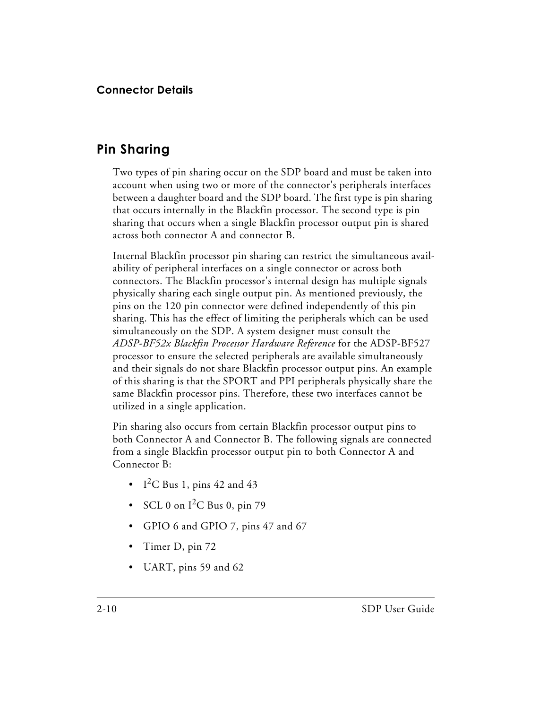### <span id="page-27-0"></span>**Pin Sharing**

Two types of pin sharing occur on the SDP board and must be taken into account when using two or more of the connector's peripherals interfaces between a daughter board and the SDP board. The first type is pin sharing that occurs internally in the Blackfin processor. The second type is pin sharing that occurs when a single Blackfin processor output pin is shared across both connector A and connector B.

Internal Blackfin processor pin sharing can restrict the simultaneous availability of peripheral interfaces on a single connector or across both connectors. The Blackfin processor's internal design has multiple signals physically sharing each single output pin. As mentioned previously, the pins on the 120 pin connector were defined independently of this pin sharing. This has the effect of limiting the peripherals which can be used simultaneously on the SDP. A system designer must consult the *ADSP-BF52x Blackfin Processor Hardware Reference* for the ADSP-BF527 processor to ensure the selected peripherals are available simultaneously and their signals do not share Blackfin processor output pins. An example of this sharing is that the SPORT and PPI peripherals physically share the same Blackfin processor pins. Therefore, these two interfaces cannot be utilized in a single application.

Pin sharing also occurs from certain Blackfin processor output pins to both Connector A and Connector B. The following signals are connected from a single Blackfin processor output pin to both Connector A and Connector B:

- I<sup>2</sup>C Bus 1, pins 42 and 43
- SCL 0 on  $I^2C$  Bus 0, pin 79
- GPIO 6 and GPIO 7, pins 47 and 67
- Timer D, pin 72
- UART, pins 59 and 62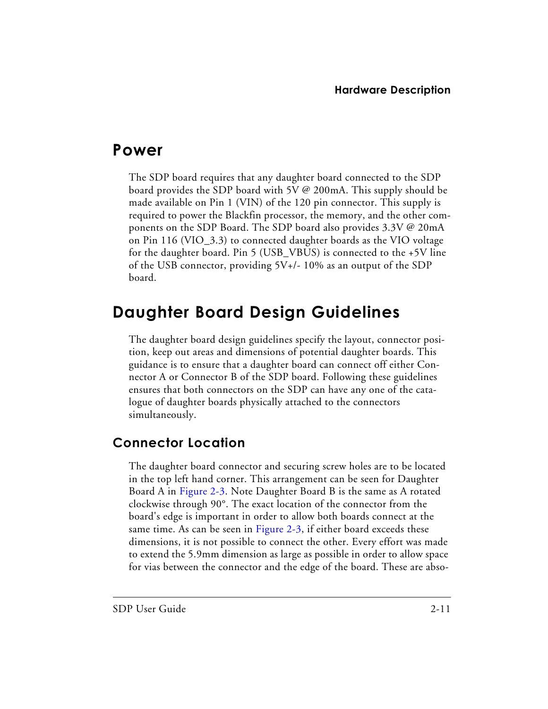## <span id="page-28-0"></span>**Power**

The SDP board requires that any daughter board connected to the SDP board provides the SDP board with 5V @ 200mA. This supply should be made available on Pin 1 (VIN) of the 120 pin connector. This supply is required to power the Blackfin processor, the memory, and the other components on the SDP Board. The SDP board also provides 3.3V @ 20mA on Pin 116 (VIO\_3.3) to connected daughter boards as the VIO voltage for the daughter board. Pin 5 (USB\_VBUS) is connected to the +5V line of the USB connector, providing 5V+/- 10% as an output of the SDP board.

## <span id="page-28-1"></span>**Daughter Board Design Guidelines**

The daughter board design guidelines specify the layout, connector position, keep out areas and dimensions of potential daughter boards. This guidance is to ensure that a daughter board can connect off either Connector A or Connector B of the SDP board. Following these guidelines ensures that both connectors on the SDP can have any one of the catalogue of daughter boards physically attached to the connectors simultaneously.

### <span id="page-28-2"></span>**Connector Location**

The daughter board connector and securing screw holes are to be located in the top left hand corner. This arrangement can be seen for Daughter Board A in [Figure 2-3](#page-29-0). Note Daughter Board B is the same as A rotated clockwise through 90°. The exact location of the connector from the board's edge is important in order to allow both boards connect at the same time. As can be seen in [Figure 2-3,](#page-29-0) if either board exceeds these dimensions, it is not possible to connect the other. Every effort was made to extend the 5.9mm dimension as large as possible in order to allow space for vias between the connector and the edge of the board. These are abso-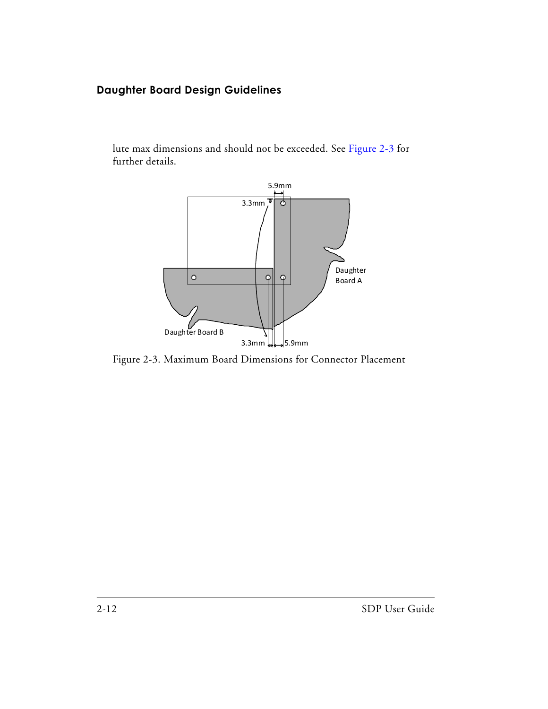#### **Daughter Board Design Guidelines**

lute max dimensions and should not be exceeded. See [Figure 2-3](#page-29-0) for further details.



<span id="page-29-0"></span>Figure 2-3. Maximum Board Dimensions for Connector Placement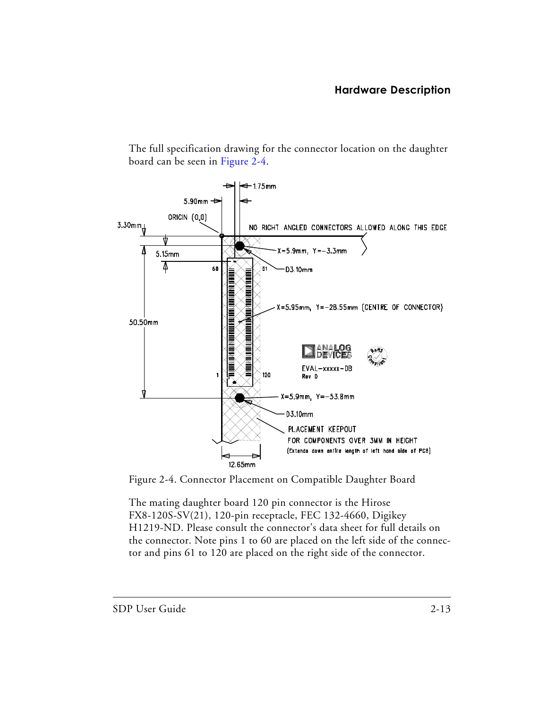The full specification drawing for the connector location on the daughter board can be seen in [Figure 2-4](#page-30-0).



<span id="page-30-0"></span>Figure 2-4. Connector Placement on Compatible Daughter Board

The mating daughter board 120 pin connector is the Hirose FX8-120S-SV(21), 120-pin receptacle, FEC 132-4660, Digikey H1219-ND. Please consult the connector's data sheet for full details on the connector. Note pins 1 to 60 are placed on the left side of the connector and pins 61 to 120 are placed on the right side of the connector.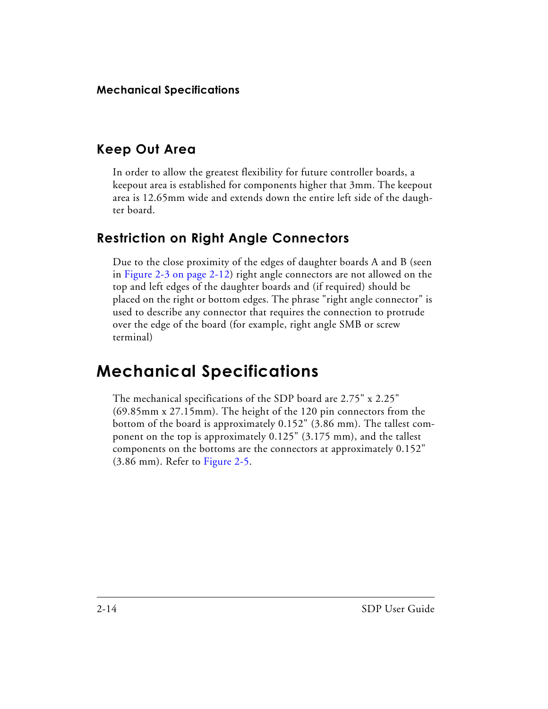#### <span id="page-31-0"></span>**Keep Out Area**

In order to allow the greatest flexibility for future controller boards, a keepout area is established for components higher that 3mm. The keepout area is 12.65mm wide and extends down the entire left side of the daughter board.

### <span id="page-31-1"></span>**Restriction on Right Angle Connectors**

Due to the close proximity of the edges of daughter boards A and B (seen in [Figure 2-3 on page 2-12\)](#page-29-0) right angle connectors are not allowed on the top and left edges of the daughter boards and (if required) should be placed on the right or bottom edges. The phrase "right angle connector" is used to describe any connector that requires the connection to protrude over the edge of the board (for example, right angle SMB or screw terminal)

## <span id="page-31-2"></span>**Mechanical Specifications**

The mechanical specifications of the SDP board are 2.75" x 2.25" (69.85mm x 27.15mm). The height of the 120 pin connectors from the bottom of the board is approximately 0.152" (3.86 mm). The tallest component on the top is approximately 0.125" (3.175 mm), and the tallest components on the bottoms are the connectors at approximately 0.152" (3.86 mm). Refer to [Figure 2-5.](#page-32-0)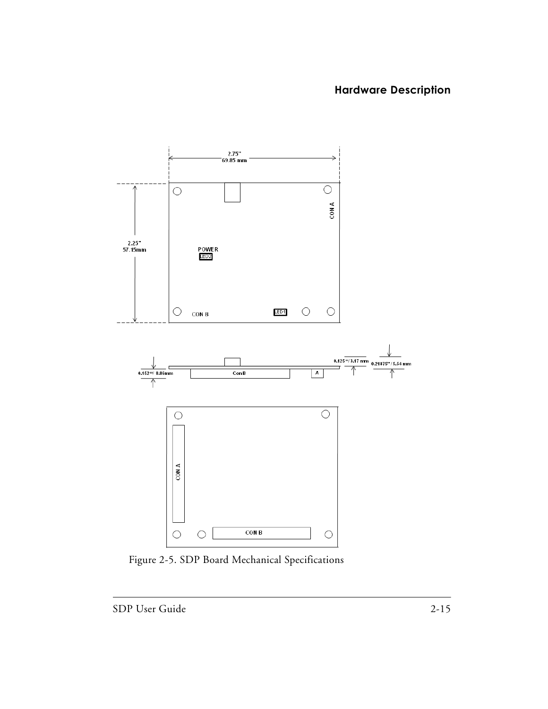

<span id="page-32-0"></span>Figure 2-5. SDP Board Mechanical Specifications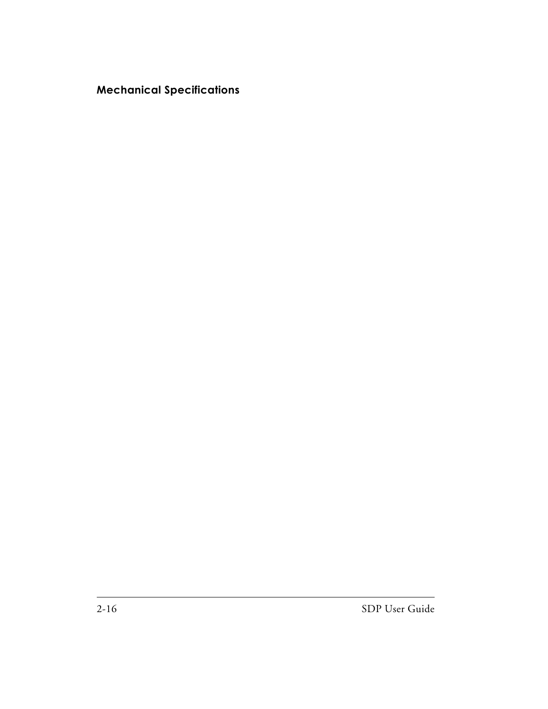#### **Mechanical Specifications**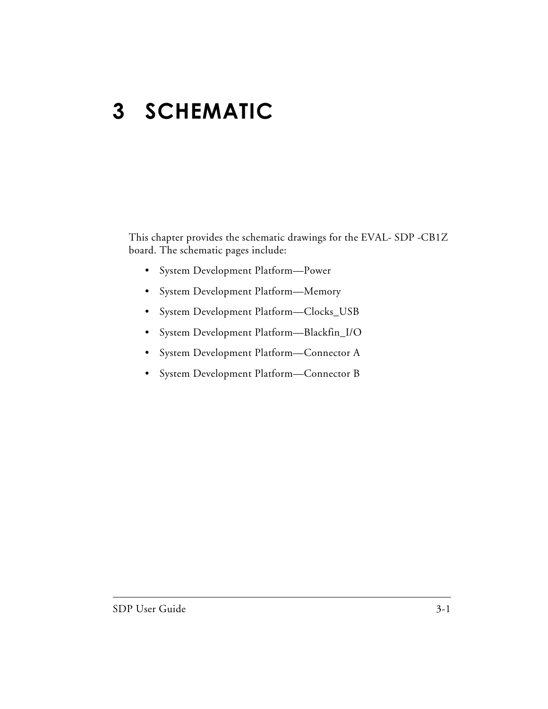# <span id="page-34-1"></span><span id="page-34-0"></span>**3 SCHEMATIC**

This chapter provides the schematic drawings for the EVAL- SDP -CB1Z board. The schematic pages include:

- System Development Platform—Power
- System Development Platform—Memory
- System Development Platform—Clocks\_USB
- System Development Platform—Blackfin\_I/O
- System Development Platform—Connector A
- System Development Platform—Connector B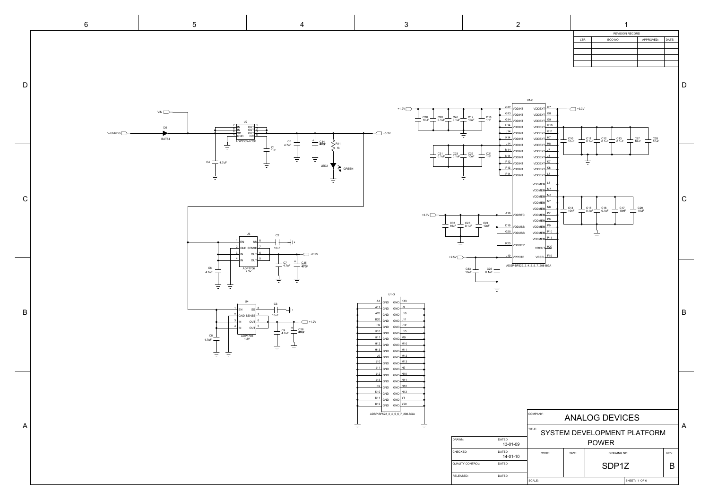| <b>REVISION RECORD</b> |         |           |       |  |  |
|------------------------|---------|-----------|-------|--|--|
| <b>LTR</b>             | ECO NO: | APPROVED: | DATE: |  |  |
|                        |         |           |       |  |  |
|                        |         |           |       |  |  |
|                        |         |           |       |  |  |
|                        |         |           |       |  |  |
|                        |         |           |       |  |  |

D

<span id="page-36-0"></span>

U1-C  $+1.2V$ <sup>G12</sup> VDDINT VDDEXT<sup>G7</sup>  $\overline{\phantom{1}}$  +3.3V <sup>G13</sup> VDDINT VDDEXT<sup>G8</sup> C19 10nF C20 0.1uF C30 10uF C46 0.1uF C18 1nF **G14** VDDINT VDDEXT<sup>S9</sup> H<sub>14</sub> VDDINT VDDEXT<sup>G10</sup>  $\leftarrow$  +3.3V 114 VDDINT VDDEXT<sup>G11</sup> K<sub>14</sub> VDDINT VDDEXT**HT** C10 10nF C11 0.1uF C12 0.1uF C13 0.1uF C28 10uF C27 10nF L<sub>14</sub> VDDINT VDDEXT<sup>H8</sup> M<sub>14</sub> VDDINT VDDEXT<sup>J7</sup> C23 0.1uF C22 10nF C31 0.1uF C21 1nF N<sub>14</sub> VDDINT VDDEXT<sup>J8</sup> ŧ <sup>P12</sup> VDDINT VDDEXT**HK7** <sup>P13</sup> VDDINT VDDEXT**HK8 P14** VDDINT VDDEXTL<sup>L7</sup> 吉 L8 VDDMEM M<sub>7</sub> VDDMEM VDDMEM M8 C VDDMEM<sup>N7</sup> VDDMEM N8 C14 10nF C15 0.1uF C16 0.1uF C17 10nF C29 10uF [+3.3V](#page-37-0) <sup>A16</sup> VDDRTC VDDMEM<sup>P7</sup> VDDMEM<sup>P8</sup> C25 0.1uF C32 10uF C24 10nF D<sub>19</sub> VDDUSB VDDMEM<sup>P9</sup> **G20** VDDUSB VDDMEM<sup>P10</sup> 吉 VDDMEM<sup>P11</sup> 吉 R20 VDDOTP VROUT $\frac{\text{H20}}{}$ +2.5V L19 VRSEL $\leftarrow$ F19 VPPOTP ADSP-BF522\_3\_4\_5\_6\_7\_208-BGA  $\Box$  $C26$   $\perp$ 10uF $\leftarrow$  0.1uF ŧ U1-D A1 GND GND K13 A17 GND GND L9 B A20 GND GND L10 B<sub>20</sub> GND GND L11 H9 GND GND L12 H<sub>10</sub> GND GND L13 H<sub>11</sub> GND GND M9 H<sub>12</sub> GND GND M<sub>10</sub> H<sub>13</sub> GND GND M<sub>11</sub>  $GND$   $M12$ 9 GND  $\frac{\text{J10}}{\text{GND}}$  GND  $\frac{\text{M13}}{\text{GND}}$  $\frac{J11}{J11}$ GND GND $\frac{N9}{J11}$  $\frac{J12}{J10}$  GND  $\frac{N10}{J10}$  $\frac{J13}{J11}$  GND GND  $\frac{N11}{J11}$ K9 GND GND N12 K10 GND GND N13 K<sub>11</sub> GND GND Y<sub>1</sub>  $GND$   $Y20$ ADSP-BF522\_3\_4\_5\_6\_7\_208-BGA COMPANY: ANALOG DEVICES 言 A TITLE: SYSTEM DEVELOPMENT PLATFORM DRAWN: DATED:<br>
03-01-09 POWER CHECKED: DATED: CODE: SIZE: | SIZE: DRAWING NO: | REV: 14-01-10 QUALITY CONTROL: DATED: SDP1Z B RELEASED: DATED: SCALE: SCALE: SCALE: SCALE: SCALE: SCALE: SCALE: SCALE: SCALE: SCALE: SCALE: SCALE: SCALE: SCALE: SCALE: SCALE: SCALE: SCALE: SCALE: SCALE: SCALE: SCALE: SCALE: SCALE: SCALE: SCALE: SCALE: SCALE: SCALE: SCALE: SCALE: SCALE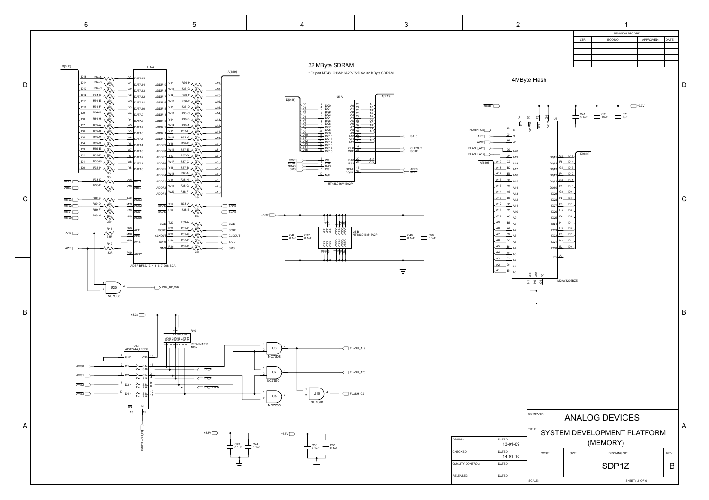<span id="page-37-0"></span>

D

C

B

A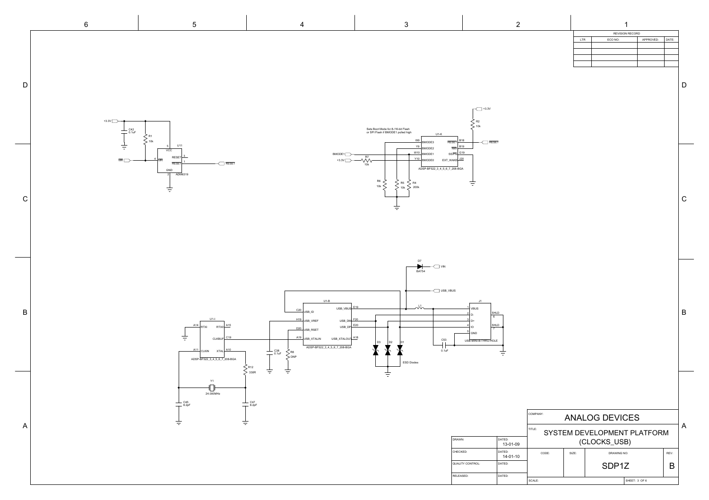COMPANY:

|            | <b>REVISION RECORD</b> |           |       |  |  |
|------------|------------------------|-----------|-------|--|--|
| <b>LTR</b> | ECO NO:                | APPROVED: | DATE: |  |  |
|            |                        |           |       |  |  |
|            |                        |           |       |  |  |
|            |                        |           |       |  |  |
|            |                        |           |       |  |  |
|            |                        |           |       |  |  |

B

C

D

<span id="page-38-0"></span>

|                         |                          | COMPANY:     | ANALOG DEVICES |                                    |               |      |              |
|-------------------------|--------------------------|--------------|----------------|------------------------------------|---------------|------|--------------|
|                         |                          | TITLE:       |                | <b>SYSTEM DEVELOPMENT PLATFORM</b> |               |      | $\mathsf{A}$ |
| DRAWN:                  | DATED:<br>13-01-09       | (CLOCKS_USB) |                |                                    |               |      |              |
| CHECKED:                | DATED:<br>$14 - 01 - 10$ | CODE:        | SIZE:          | <b>DRAWING NO:</b>                 |               | REV: |              |
| <b>QUALITY CONTROL:</b> | DATED:                   |              |                | SDP <sub>1</sub> Z                 |               | Β    |              |
| RELEASED:               | DATED:                   | SCALE:       |                |                                    | SHEET: 3 OF 6 |      |              |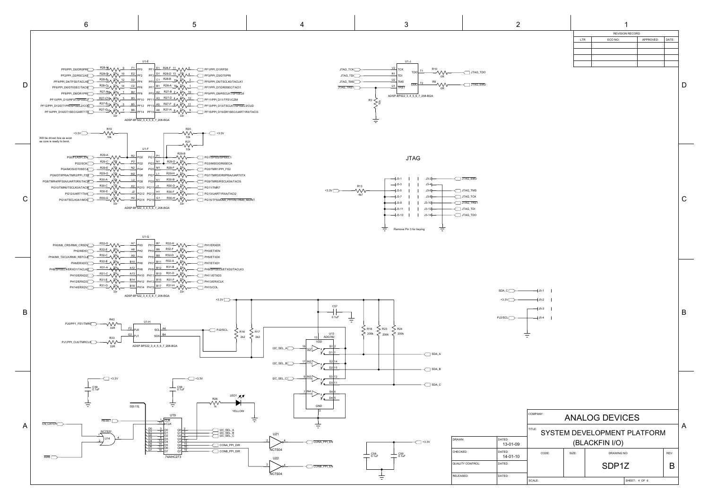|         |                         |                          | 111 LE:        |       |                    | SYSTEM DEVELOPMENT PLATFORM |      |
|---------|-------------------------|--------------------------|----------------|-------|--------------------|-----------------------------|------|
| $+3.3V$ | DRAWN:                  | DATED:<br>13-01-09       | (BLACKFIN I/O) |       |                    |                             |      |
|         | CHECKED:                | DATED:<br>$14 - 01 - 10$ | CODE:          | SIZE: | DRAWING NO:        |                             | REV: |
|         | <b>QUALITY CONTROL:</b> | DATED:                   |                |       | SDP <sub>1</sub> Z |                             | B    |
|         | <b>RELEASED:</b>        | DATED:                   | SCALE:         |       |                    | SHEET: 4 OF 6               |      |

| <b>REVISION RECORD</b> |           |       |  |  |
|------------------------|-----------|-------|--|--|
| ECO NO:                | APPROVED: | DATE: |  |  |
|                        |           |       |  |  |
|                        |           |       |  |  |
|                        |           |       |  |  |
|                        |           |       |  |  |
|                        |           |       |  |  |

6 5 4 3 2 1

<span id="page-39-0"></span>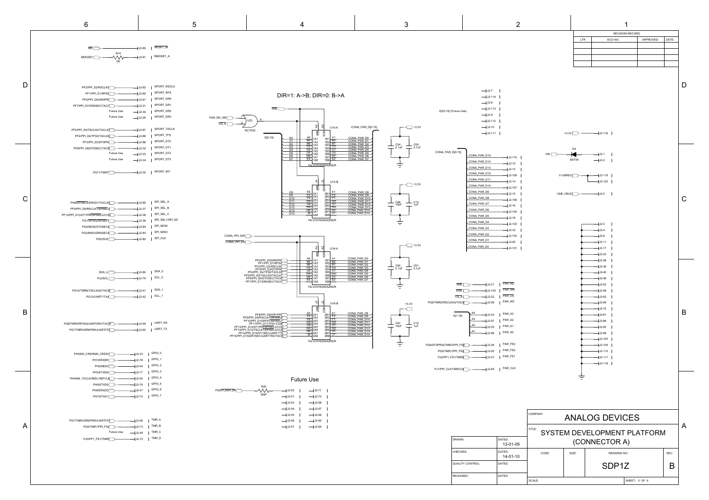REVISION RECORD

LTR | ECO NO: | APPROVED: |DATE:

RELEASED: DATED:

6 5 4 3 2 1

SPORT\_RSCLK J2-92 PF2/PPI\_D2/RSCLK0 SPORT\_RFS J2-90 SPORT\_DR0 J2-91 SPORT\_DR1 J2-31 SPORT\_DR2 J2-30 SPORT\_DR3 J2-29 Future Use Future Use PF1/PPI\_D1/RFS0<sub>2</sub> PF7/PPI\_D7/DR0SEC/TACI1 PF0/PPI\_D0/DR0PRI<sub>\_\_</sub>\_\_\_\_\_

<span id="page-40-0"></span>D

C

B

A

SPORT\_TSCLK J2-87 SPORT\_TFS J2-89 PF4/PPI\_D4/TFS0/TACLK0 SPORT\_DT0 J2-88 PF3/PPI\_D3/DT0PRI SPORT\_DT1 J2-32 PF6/PPI\_D6/DT0SEC/TACI0 SPORT\_DT2 J2-33 SPORT\_DT3 J2-34 Future Use Future Use PF5/PPI\_D5/TSCLK0/TACLK1

RESET\_IN J2-60 BMODE1\_A J2-61  $\overline{\mathcal{W}}$ <sup>R14</sup> 0R  $\overline{\text{MR}}$  $\overline{\text{MR}}$  $\overline{\text{MR}}$ [BMODE1](#page-41-0)<sup>---</sup>

|                                                                                  | $-J2-7$                                                         |                                           |          |                      |                             |      | D            |
|----------------------------------------------------------------------------------|-----------------------------------------------------------------|-------------------------------------------|----------|----------------------|-----------------------------|------|--------------|
|                                                                                  | $-$ J2-114                                                      |                                           |          |                      |                             |      |              |
|                                                                                  | $-J2-8$                                                         |                                           |          |                      |                             |      |              |
|                                                                                  | $-$ J2-113<br>D[23:16] (Future Use)                             |                                           |          |                      |                             |      |              |
|                                                                                  | $-J2-9$                                                         |                                           |          |                      |                             |      |              |
|                                                                                  | $-J2-112$                                                       |                                           |          |                      |                             |      |              |
| $+3.3V$                                                                          | $-J2-10$                                                        |                                           |          |                      |                             |      |              |
|                                                                                  | $-$ J2-111                                                      |                                           |          | $+3.3V$              | $-1$ J2-116                 |      |              |
| – C54<br>– 0.1uF<br>$\overline{\phantom{0}}$                                     |                                                                 |                                           |          |                      |                             |      |              |
|                                                                                  | CONA_PAR_D[0:15]                                                |                                           |          | D <sub>4</sub>       |                             |      |              |
|                                                                                  | CONA_PAR_D15                                                    | $1J2-110$                                 | VIN [    |                      | $+12-1$                     |      |              |
|                                                                                  | CONA_PAR_D14                                                    | $J2-12$                                   |          | BAT54                | $-JJ2-2$                    |      |              |
|                                                                                  | CONA_PAR_D13                                                    | $1J2-13$                                  |          |                      |                             |      |              |
|                                                                                  | CONA_PAR_D12<br>CONA_PAR_D11                                    | $1J2-108$                                 |          | V-UNREG <sup>[</sup> | $-1$ J2-119                 |      |              |
| $+3.3V$                                                                          | CONA_PAR_D10                                                    | $1J2-14$                                  |          |                      | $-132 - 120$                |      |              |
|                                                                                  | CONA_PAR_D9                                                     | $J2-107$<br>$J2-15$                       |          | $USB_VBUS$           | $-1$ J2-5                   |      |              |
|                                                                                  | CONA_PAR_D8                                                     | $12 - 106$                                |          |                      |                             |      | $\mathsf C$  |
| C66<br>10nF<br>$\frac{1}{1}$ C73<br>$\equiv$                                     | CONA_PAR_D7                                                     | $J2-16$                                   |          |                      |                             |      |              |
|                                                                                  | CONA_PAR_D6                                                     | $12 - 105$                                |          |                      |                             |      |              |
|                                                                                  | CONA_PAR_D5                                                     | $J2-18$                                   |          |                      |                             |      |              |
|                                                                                  | CONA_PAR_D4                                                     | $J2-103$                                  |          |                      | $1J2-3$                     |      |              |
|                                                                                  | CONA_PAR_D3<br>CONA_PAR_D2                                      | $J2-19$                                   |          |                      | $-1$ J2-4                   |      |              |
|                                                                                  | CONA_PAR_D1                                                     | $1J2-102$                                 |          |                      | $1J2-6$                     |      |              |
| $+3.3V$                                                                          | CONA_PAR_DO                                                     | $1J2-20$<br>$+$ J2-101                    |          |                      | $+$ J2-11<br>$+$ J2-17      |      |              |
|                                                                                  |                                                                 |                                           |          |                      | $-132 - 23$                 |      |              |
|                                                                                  |                                                                 |                                           |          |                      | $-112-28$                   |      |              |
| $C60$<br>$0.1$ uF<br>– C61<br>– 0.1uF                                            |                                                                 |                                           |          |                      | $-1$ J2-36                  |      |              |
|                                                                                  |                                                                 |                                           |          |                      | $-132 - 40$                 |      |              |
|                                                                                  |                                                                 |                                           |          |                      | $-112 - 46$                 |      |              |
|                                                                                  | <b>ARE</b><br>$-132-21$                                         | PAR_RD                                    |          |                      | $-1$ J2-52                  |      |              |
|                                                                                  | <b>AWE</b><br>$-J2-100$                                         | PAR_WR<br>PAR_CS                          |          |                      | $-1$ J2-58                  |      |              |
|                                                                                  | CS <sub>A</sub><br>$J2-22$<br>PG9/TMR5/RSCLK0A/TACI5<br>$J2-99$ | PAR_INT                                   |          |                      | $-1$ J2-63<br>$-132 - 69$   |      |              |
| $+3.3V$                                                                          |                                                                 |                                           |          |                      | $-112 - 75$                 |      |              |
|                                                                                  | A4<br>$-J2-24$<br>A[1:19]                                       | PAR_A3                                    |          |                      | $-132 - 81$                 |      | B            |
|                                                                                  | A3<br>$J2-97$                                                   | PAR_A2                                    |          |                      | $-132 - 86$                 |      |              |
| $C67$<br>10nF<br>$\frac{1}{1}$ C72<br>$\overline{\phantom{0}}$<br>$\overline{a}$ | A <sub>2</sub><br>$J2-25$                                       | PAR_A1                                    |          |                      | $1J2-93$                    |      |              |
|                                                                                  | A1<br>$J2-96$                                                   | PAR_A0                                    |          |                      | $-1$ J2-98                  |      |              |
|                                                                                  |                                                                 |                                           |          |                      | $-132 - 104$                |      |              |
|                                                                                  | PG6/DT0PRIA/TMR2/PPI_FS8<br>$-J2-26$                            | PAR_FS3<br>PAR_FS2                        |          |                      | $-132 - 109$                |      |              |
|                                                                                  | PG5/TMR1/PPI_FS2<br>$-J2-95$<br>$-J2-27$                        | PAR_FS1                                   |          |                      | $1J2 - 115$                 |      |              |
|                                                                                  | PJ0/PP1_FS1/TMRQ                                                |                                           |          |                      | $1J2-117$<br>$-132 - 118$   |      |              |
|                                                                                  | PJ1/PPI_CLK/TMRCLK<br>$-1$ J2-94                                | $\ensuremath{\mathsf{PAR}\_\mathsf{CLK}}$ |          |                      |                             |      |              |
|                                                                                  |                                                                 |                                           |          |                      |                             |      |              |
|                                                                                  |                                                                 |                                           |          |                      |                             |      |              |
|                                                                                  |                                                                 |                                           |          |                      |                             |      |              |
|                                                                                  |                                                                 |                                           |          |                      |                             |      |              |
|                                                                                  |                                                                 |                                           |          |                      |                             |      |              |
|                                                                                  |                                                                 |                                           |          |                      |                             |      |              |
|                                                                                  |                                                                 |                                           | COMPANY: |                      | <b>ANALOG DEVICES</b>       |      |              |
|                                                                                  |                                                                 |                                           |          |                      |                             |      |              |
|                                                                                  |                                                                 |                                           | TITLE:   |                      | SYSTEM DEVELOPMENT PLATFORM |      | $\mathsf{A}$ |
|                                                                                  | DRAWN:                                                          | DATED:                                    |          |                      |                             |      |              |
|                                                                                  |                                                                 | 13-01-09                                  |          |                      | (CONNECTOR A)               |      |              |
|                                                                                  | CHECKED:                                                        | DATED:                                    | CODE:    | SIZE:                | <b>DRAWING NO:</b>          | REV: |              |
|                                                                                  |                                                                 | $14 - 01 - 10$                            |          |                      |                             |      |              |

SCALE: SOF 6



SDP1Z

B

QUALITY CONTROL: DATED:

SPORT\_INT J2-35 [PG11/TMR7](#page-39-0)

| PG8/TMR4/RFS0A/UART0RX/TACI4<br>$\overline{\phantom{0}}$ J2-59 | UART_RX |
|----------------------------------------------------------------|---------|
| PG7/TMR3/DR0PRIA/UART0TX<br>⊣J2-62                             | UART_TX |

| PH8/SPISEL4/ERXD1/TACLK2<br>J2-85           | SPI_SEL_A       |
|---------------------------------------------|-----------------|
| PF9/PPI D9/RSCLK1/SPISEL6<br>$1J2-37$       | SPI SEL B       |
| PF12/PPI D12/DT1PRI/SPISEL2/COG<br>$1J2-38$ | SPI SEL C       |
| PG1/SPISS/SPISEL1<br>J2-39                  | SPI SEL1/SPI SS |
| PG4/MOSI/DT0SECA<br>J2-84                   | SPI MOSI        |
| PG3/MISO/DR0SECA<br>- J2-83                 | SPI MISO        |
| PG2/SCK<br>$J2-82$                          | SPI CLK         |

| PH0/MII_CRS/RMII_CRSDV<br>$+J2-43$ | GPIO_0 |
|------------------------------------|--------|
| PH1/ERXER<br>J2-78                 | GPIO_1 |
| J2-44<br>PH2/MDIO                  | GPIO_2 |
| H J2-77<br>PH3/ETXEN               | GPIO_3 |
| PH4/MII TXCLK/RMII REFCLK<br>J2-45 | GPIO_4 |
| PH5/ETXD0<br>- J2-76               | GPIO_5 |
| J2-47<br>PH6/ERXDO                 | GPIO 6 |
| PH7/ETXD1<br>U2-74                 | GPIO 7 |

| PG7/TMR3/DR0PRIA/UART0TX ><br>—l J2-48      | TMR_A |
|---------------------------------------------|-------|
|                                             | TMR_B |
| <b>Future Use</b><br>$-$ J2-49              | TMR_C |
| $-$ J2-72<br>PJ0/PP1 FS1/TMR0 $\rightarrow$ | TMR_D |

74LVCH16245AZRDR

| $-J2-80$<br>SDA_A<br>$-$ J2-79<br>PJ2/SCL                           | SDA_0<br>SCL_0        |
|---------------------------------------------------------------------|-----------------------|
| $-1$ J2-41<br>PG10/TMR6/TSCLK0A/TACI6<br>PG12/UART1TXA<br>$-$ J2-42 | $SDA_1$<br>$SCL_{-1}$ |



[PF14/PPI\\_D14/DT1SEC/UART1T](#page-41-0)<u>X</u><br>[PF15/PPI\\_D15/DR1SEC/UART1RX/TAC](#page-41-0)I<mark>3</mark>